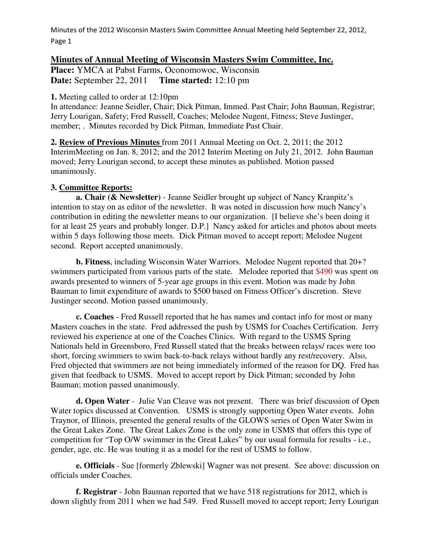## **Minutes of Annual Meeting of Wisconsin Masters Swim Committee, Inc.**

**Place:** YMCA at Pabst Farms, Oconomowoc, Wisconsin **Date:** September 22, 2011 **Time started:** 12:10 pm

**1.** Meeting called to order at 12:10pm

In attendance: Jeanne Seidler, Chair; Dick Pitman, Immed. Past Chair; John Bauman, Registrar; Jerry Lourigan, Safety; Fred Russell, Coaches; Melodee Nugent, Fitness; Steve Justinger, member; . Minutes recorded by Dick Pitman, Immediate Past Chair.

**2. Review of Previous Minutes** from 2011 Annual Meeting on Oct. 2, 2011; the 2012 InterimMeeting on Jan. 8, 2012; and the 2012 Interim Meeting on July 21, 2012. John Bauman moved; Jerry Lourigan second, to accept these minutes as published. Motion passed unanimously.

## **3. Committee Reports:**

**a. Chair (& Newsletter)** - Jeanne Seidler brought up subject of Nancy Kranpitz's intention to stay on as editor of the newsletter. It was noted in discussion how much Nancy's contribution in editing the newsletter means to our organization. [I believe she's been doing it for at least 25 years and probably longer. D.P.] Nancy asked for articles and photos about meets within 5 days following those meets. Dick Pitman moved to accept report; Melodee Nugent second. Report accepted unanimously.

**b. Fitness**, including Wisconsin Water Warriors. Melodee Nugent reported that 20+? swimmers participated from various parts of the state. Melodee reported that \$490 was spent on awards presented to winners of 5-year age groups in this event. Motion was made by John Bauman to limit expenditure of awards to \$500 based on Fitness Officer's discretion. Steve Justinger second. Motion passed unanimously.

**c. Coaches** - Fred Russell reported that he has names and contact info for most or many Masters coaches in the state. Fred addressed the push by USMS for Coaches Certification. Jerry reviewed his experience at one of the Coaches Clinics. With regard to the USMS Spring Nationals held in Greensboro, Fred Russell stated that the breaks between relays/ races were too short, forcing swimmers to swim back-to-back relays without hardly any rest/recovery. Also, Fred objected that swimmers are not being immediately informed of the reason for DQ. Fred has given that feedback to USMS. Moved to accept report by Dick Pitman; seconded by John Bauman; motion passed unanimously.

**d. Open Water** - Julie Van Cleave was not present. There was brief discussion of Open Water topics discussed at Convention. USMS is strongly supporting Open Water events. John Traynor, of Illinois, presented the general results of the GLOWS series of Open Water Swim in the Great Lakes Zone. The Great Lakes Zone is the only zone in USMS that offers this type of competition for "Top O/W swimmer in the Great Lakes" by our usual formula for results - i.e., gender, age, etc. He was touting it as a model for the rest of USMS to follow.

 **e. Officials** - Sue [formerly Zblewski] Wagner was not present. See above: discussion on officials under Coaches.

 **f. Registrar** - John Bauman reported that we have 518 registrations for 2012, which is down slightly from 2011 when we had 549. Fred Russell moved to accept report; Jerry Lourigan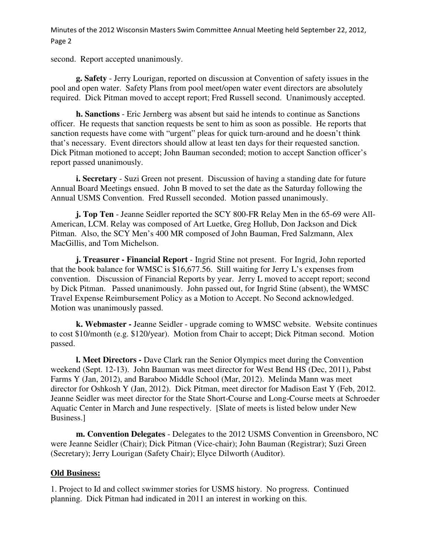second. Report accepted unanimously.

 **g. Safety** - Jerry Lourigan, reported on discussion at Convention of safety issues in the pool and open water. Safety Plans from pool meet/open water event directors are absolutely required. Dick Pitman moved to accept report; Fred Russell second. Unanimously accepted.

 **h. Sanctions** - Eric Jernberg was absent but said he intends to continue as Sanctions officer. He requests that sanction requests be sent to him as soon as possible. He reports that sanction requests have come with "urgent" pleas for quick turn-around and he doesn't think that's necessary. Event directors should allow at least ten days for their requested sanction. Dick Pitman motioned to accept; John Bauman seconded; motion to accept Sanction officer's report passed unanimously.

**i. Secretary** - Suzi Green not present. Discussion of having a standing date for future Annual Board Meetings ensued. John B moved to set the date as the Saturday following the Annual USMS Convention. Fred Russell seconded. Motion passed unanimously.

 **j. Top Ten** - Jeanne Seidler reported the SCY 800-FR Relay Men in the 65-69 were All-American, LCM. Relay was composed of Art Luetke, Greg Hollub, Don Jackson and Dick Pitman. Also, the SCY Men's 400 MR composed of John Bauman, Fred Salzmann, Alex MacGillis, and Tom Michelson.

**j. Treasurer - Financial Report** - Ingrid Stine not present. For Ingrid, John reported that the book balance for WMSC is \$16,677.56. Still waiting for Jerry L's expenses from convention. Discussion of Financial Reports by year. Jerry L moved to accept report; second by Dick Pitman. Passed unanimously. John passed out, for Ingrid Stine (absent), the WMSC Travel Expense Reimbursement Policy as a Motion to Accept. No Second acknowledged. Motion was unanimously passed.

**k. Webmaster -** Jeanne Seidler - upgrade coming to WMSC website. Website continues to cost \$10/month (e.g. \$120/year). Motion from Chair to accept; Dick Pitman second. Motion passed.

**l. Meet Directors -** Dave Clark ran the Senior Olympics meet during the Convention weekend (Sept. 12-13). John Bauman was meet director for West Bend HS (Dec, 2011), Pabst Farms Y (Jan, 2012), and Baraboo Middle School (Mar, 2012). Melinda Mann was meet director for Oshkosh Y (Jan, 2012). Dick Pitman, meet director for Madison East Y (Feb, 2012. Jeanne Seidler was meet director for the State Short-Course and Long-Course meets at Schroeder Aquatic Center in March and June respectively. [Slate of meets is listed below under New Business.]

**m. Convention Delegates** - Delegates to the 2012 USMS Convention in Greensboro, NC were Jeanne Seidler (Chair); Dick Pitman (Vice-chair); John Bauman (Registrar); Suzi Green (Secretary); Jerry Lourigan (Safety Chair); Elyce Dilworth (Auditor).

## **Old Business:**

1. Project to Id and collect swimmer stories for USMS history. No progress. Continued planning. Dick Pitman had indicated in 2011 an interest in working on this.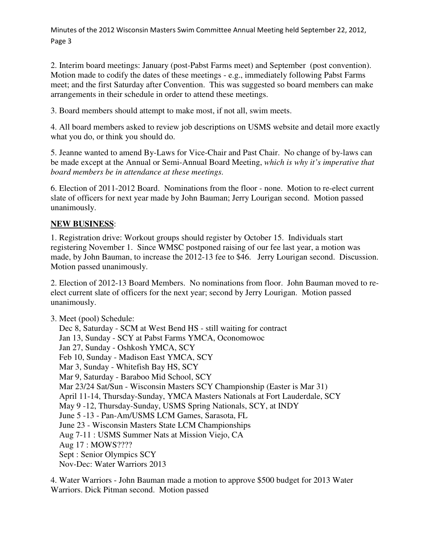2. Interim board meetings: January (post-Pabst Farms meet) and September (post convention). Motion made to codify the dates of these meetings - e.g., immediately following Pabst Farms meet; and the first Saturday after Convention. This was suggested so board members can make arrangements in their schedule in order to attend these meetings.

3. Board members should attempt to make most, if not all, swim meets.

4. All board members asked to review job descriptions on USMS website and detail more exactly what you do, or think you should do.

5. Jeanne wanted to amend By-Laws for Vice-Chair and Past Chair. No change of by-laws can be made except at the Annual or Semi-Annual Board Meeting, *which is why it's imperative that board members be in attendance at these meetings.* 

6. Election of 2011-2012 Board. Nominations from the floor - none. Motion to re-elect current slate of officers for next year made by John Bauman; Jerry Lourigan second. Motion passed unanimously.

## **NEW BUSINESS**:

1. Registration drive: Workout groups should register by October 15. Individuals start registering November 1. Since WMSC postponed raising of our fee last year, a motion was made, by John Bauman, to increase the 2012-13 fee to \$46. Jerry Lourigan second. Discussion. Motion passed unanimously.

2. Election of 2012-13 Board Members. No nominations from floor. John Bauman moved to reelect current slate of officers for the next year; second by Jerry Lourigan. Motion passed unanimously.

3. Meet (pool) Schedule: Dec 8, Saturday - SCM at West Bend HS - still waiting for contract Jan 13, Sunday - SCY at Pabst Farms YMCA, Oconomowoc Jan 27, Sunday - Oshkosh YMCA, SCY Feb 10, Sunday - Madison East YMCA, SCY Mar 3, Sunday - Whitefish Bay HS, SCY Mar 9, Saturday - Baraboo Mid School, SCY Mar 23/24 Sat/Sun - Wisconsin Masters SCY Championship (Easter is Mar 31) April 11-14, Thursday-Sunday, YMCA Masters Nationals at Fort Lauderdale, SCY May 9 -12, Thursday-Sunday, USMS Spring Nationals, SCY, at INDY June 5 -13 - Pan-Am/USMS LCM Games, Sarasota, FL June 23 - Wisconsin Masters State LCM Championships Aug 7-11 : USMS Summer Nats at Mission Viejo, CA Aug 17 : MOWS???? Sept : Senior Olympics SCY Nov-Dec: Water Warriors 2013

4. Water Warriors - John Bauman made a motion to approve \$500 budget for 2013 Water Warriors. Dick Pitman second. Motion passed